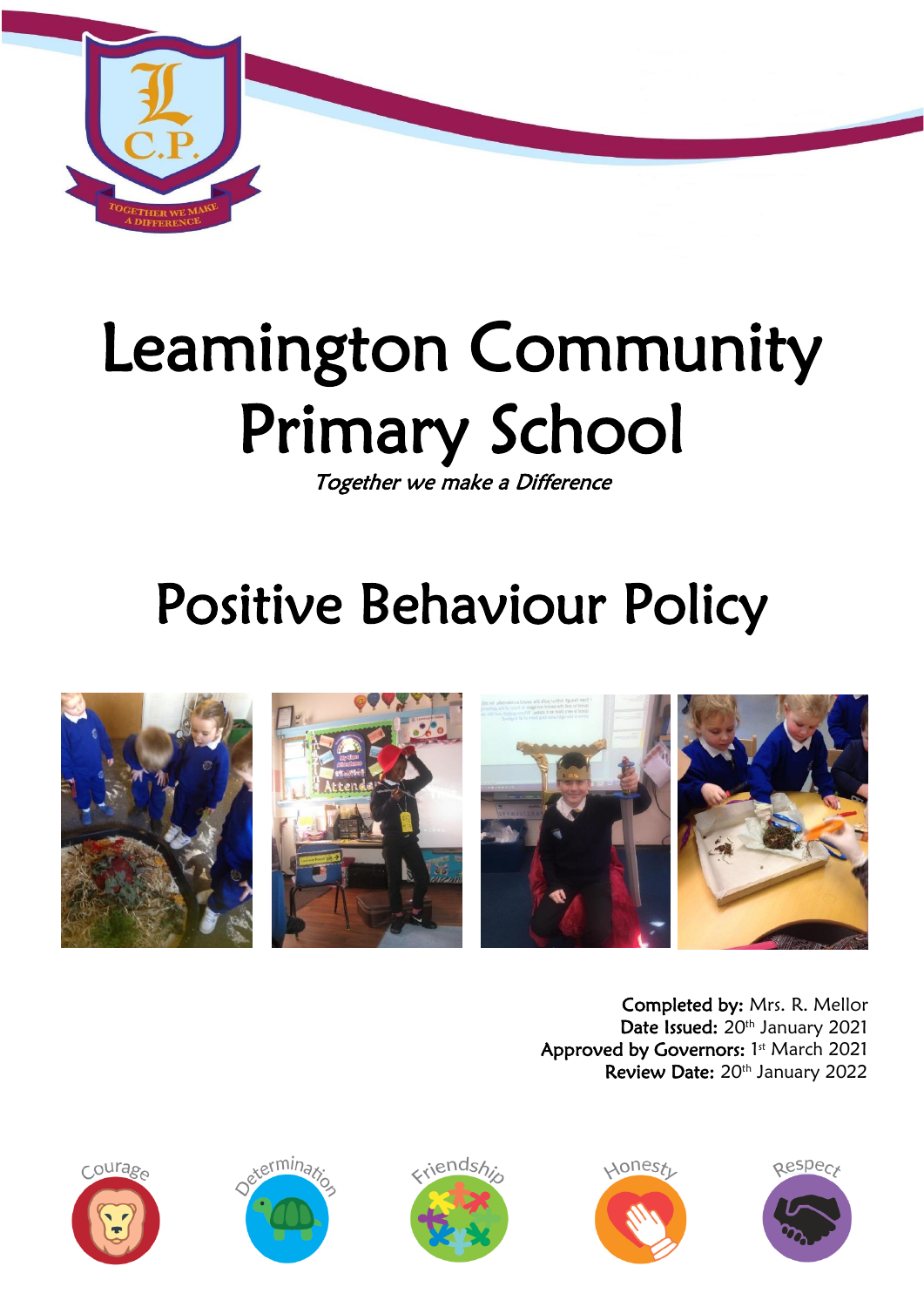

# Leamington Community Primary School

Together we make a Difference

# Positive Behaviour Policy



Completed by: Mrs. R. Mellor Date Issued: 20<sup>th</sup> January 2021 Approved by Governors: 1st March 2021 Review Date: 20<sup>th</sup> January 2022









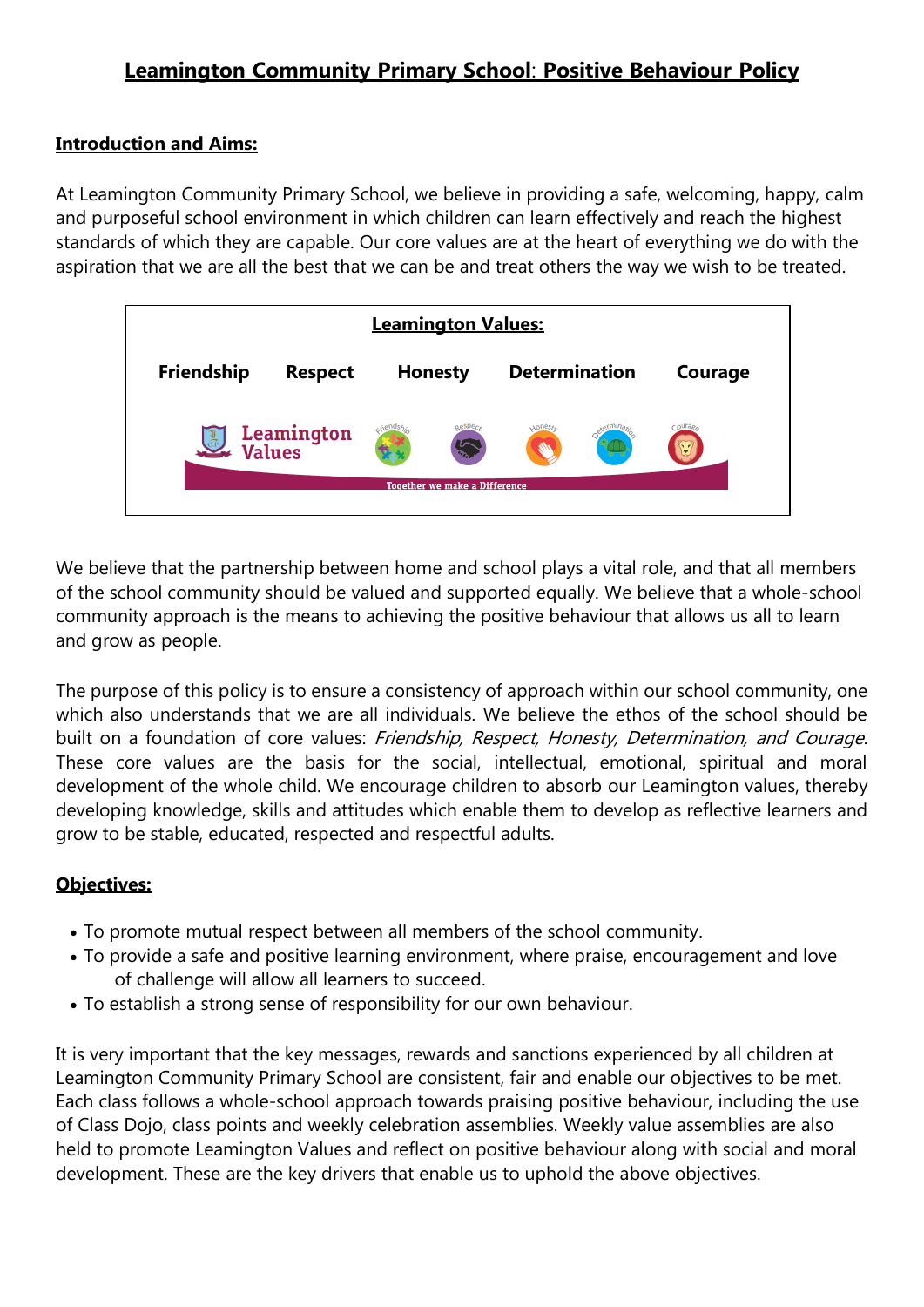# **Leamington Community Primary School**: **Positive Behaviour Policy**

#### **Introduction and Aims:**

At Leamington Community Primary School, we believe in providing a safe, welcoming, happy, calm and purposeful school environment in which children can learn effectively and reach the highest standards of which they are capable. Our core values are at the heart of everything we do with the aspiration that we are all the best that we can be and treat others the way we wish to be treated.



We believe that the partnership between home and school plays a vital role, and that all members of the school community should be valued and supported equally. We believe that a whole-school community approach is the means to achieving the positive behaviour that allows us all to learn and grow as people.

The purpose of this policy is to ensure a consistency of approach within our school community, one which also understands that we are all individuals. We believe the ethos of the school should be built on a foundation of core values: Friendship, Respect, Honesty, Determination, and Courage. These core values are the basis for the social, intellectual, emotional, spiritual and moral development of the whole child. We encourage children to absorb our Leamington values, thereby developing knowledge, skills and attitudes which enable them to develop as reflective learners and grow to be stable, educated, respected and respectful adults.

#### **Objectives:**

- To promote mutual respect between all members of the school community.
- To provide a safe and positive learning environment, where praise, encouragement and love of challenge will allow all learners to succeed.
- To establish a strong sense of responsibility for our own behaviour.

It is very important that the key messages, rewards and sanctions experienced by all children at Leamington Community Primary School are consistent, fair and enable our objectives to be met. Each class follows a whole-school approach towards praising positive behaviour, including the use of Class Dojo, class points and weekly celebration assemblies. Weekly value assemblies are also held to promote Leamington Values and reflect on positive behaviour along with social and moral development. These are the key drivers that enable us to uphold the above objectives.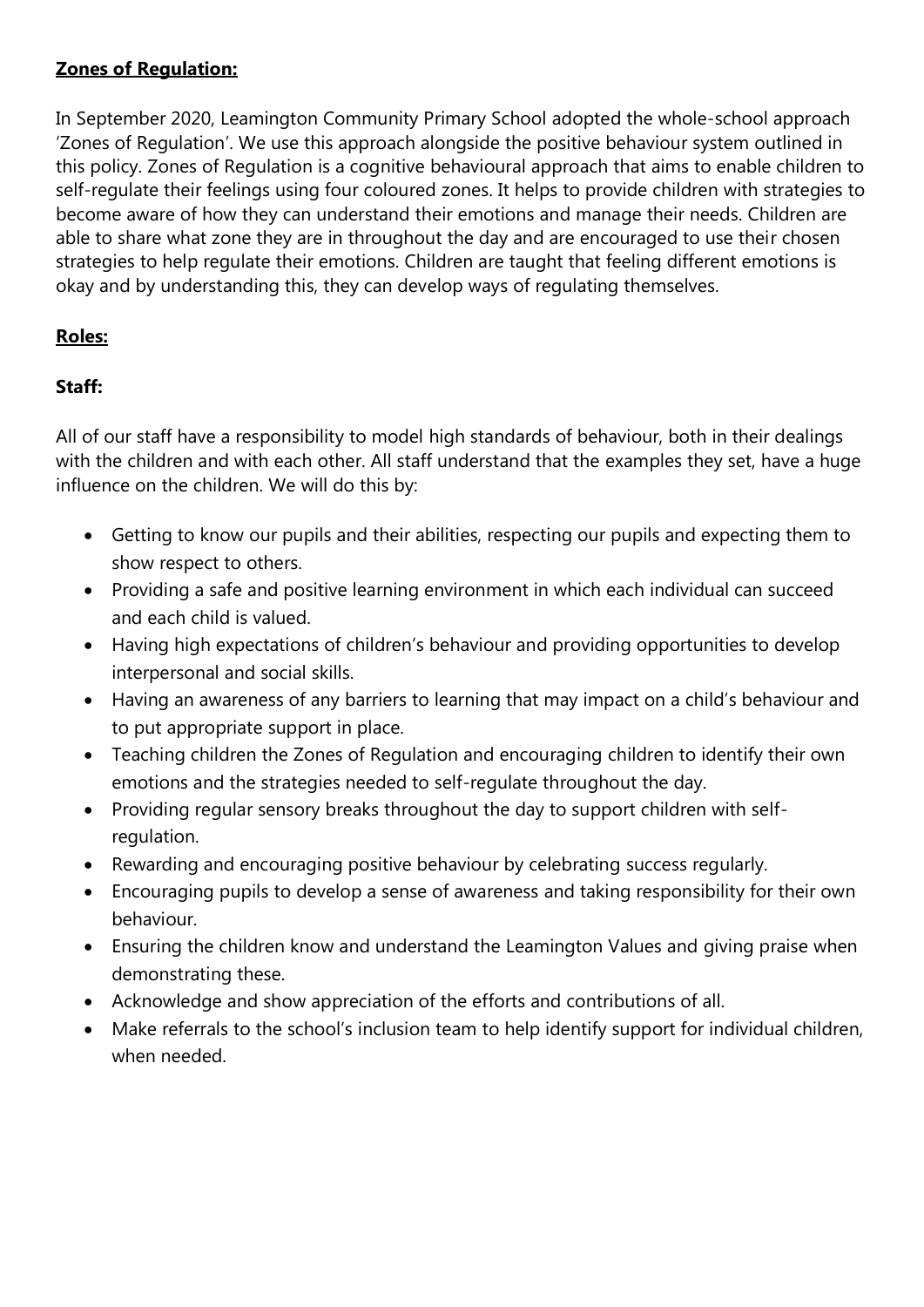#### **Zones of Regulation:**

In September 2020, Leamington Community Primary School adopted the whole-school approach 'Zones of Regulation'. We use this approach alongside the positive behaviour system outlined in this policy. Zones of Regulation is a cognitive behavioural approach that aims to enable children to self-regulate their feelings using four coloured zones. It helps to provide children with strategies to become aware of how they can understand their emotions and manage their needs. Children are able to share what zone they are in throughout the day and are encouraged to use their chosen strategies to help regulate their emotions. Children are taught that feeling different emotions is okay and by understanding this, they can develop ways of regulating themselves.

# **Roles:**

# **Staff:**

All of our staff have a responsibility to model high standards of behaviour, both in their dealings with the children and with each other. All staff understand that the examples they set, have a huge influence on the children. We will do this by:

- Getting to know our pupils and their abilities, respecting our pupils and expecting them to show respect to others.
- Providing a safe and positive learning environment in which each individual can succeed and each child is valued.
- Having high expectations of children's behaviour and providing opportunities to develop interpersonal and social skills.
- Having an awareness of any barriers to learning that may impact on a child's behaviour and to put appropriate support in place.
- Teaching children the Zones of Regulation and encouraging children to identify their own emotions and the strategies needed to self-regulate throughout the day.
- Providing regular sensory breaks throughout the day to support children with selfregulation.
- Rewarding and encouraging positive behaviour by celebrating success regularly.
- Encouraging pupils to develop a sense of awareness and taking responsibility for their own behaviour.
- Ensuring the children know and understand the Leamington Values and giving praise when demonstrating these.
- Acknowledge and show appreciation of the efforts and contributions of all.
- Make referrals to the school's inclusion team to help identify support for individual children, when needed.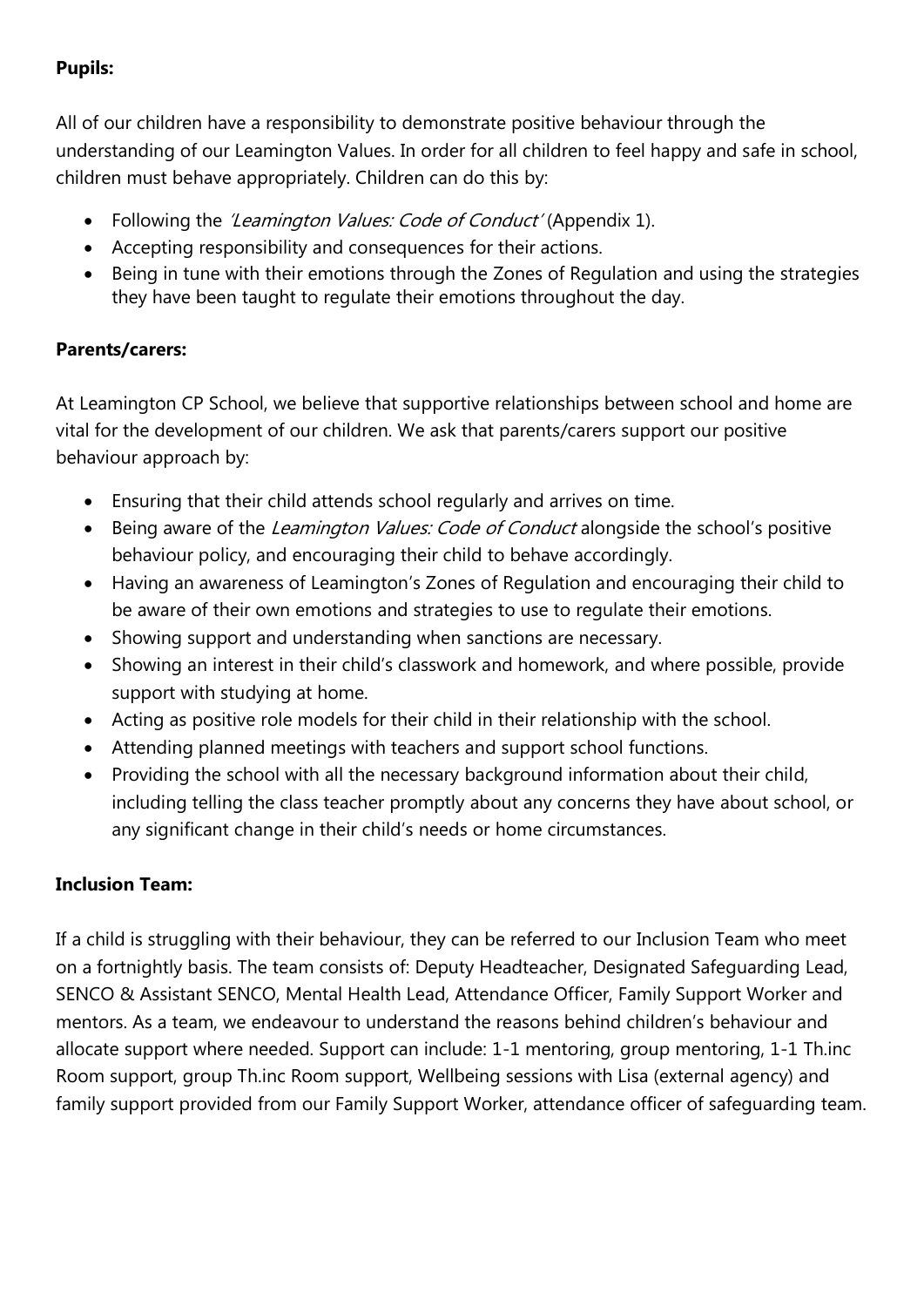#### **Pupils:**

All of our children have a responsibility to demonstrate positive behaviour through the understanding of our Leamington Values. In order for all children to feel happy and safe in school, children must behave appropriately. Children can do this by:

- Following the *'Leamington Values: Code of Conduct'* (Appendix 1).
- Accepting responsibility and consequences for their actions.
- Being in tune with their emotions through the Zones of Regulation and using the strategies they have been taught to regulate their emotions throughout the day.

#### **Parents/carers:**

At Leamington CP School, we believe that supportive relationships between school and home are vital for the development of our children. We ask that parents/carers support our positive behaviour approach by:

- Ensuring that their child attends school regularly and arrives on time.
- Being aware of the *Leamington Values: Code of Conduct* alongside the school's positive behaviour policy, and encouraging their child to behave accordingly.
- Having an awareness of Leamington's Zones of Regulation and encouraging their child to be aware of their own emotions and strategies to use to regulate their emotions.
- Showing support and understanding when sanctions are necessary.
- Showing an interest in their child's classwork and homework, and where possible, provide support with studying at home.
- Acting as positive role models for their child in their relationship with the school.
- Attending planned meetings with teachers and support school functions.
- Providing the school with all the necessary background information about their child, including telling the class teacher promptly about any concerns they have about school, or any significant change in their child's needs or home circumstances.

# **Inclusion Team:**

If a child is struggling with their behaviour, they can be referred to our Inclusion Team who meet on a fortnightly basis. The team consists of: Deputy Headteacher, Designated Safeguarding Lead, SENCO & Assistant SENCO, Mental Health Lead, Attendance Officer, Family Support Worker and mentors. As a team, we endeavour to understand the reasons behind children's behaviour and allocate support where needed. Support can include: 1-1 mentoring, group mentoring, 1-1 Th.inc Room support, group Th.inc Room support, Wellbeing sessions with Lisa (external agency) and family support provided from our Family Support Worker, attendance officer of safeguarding team.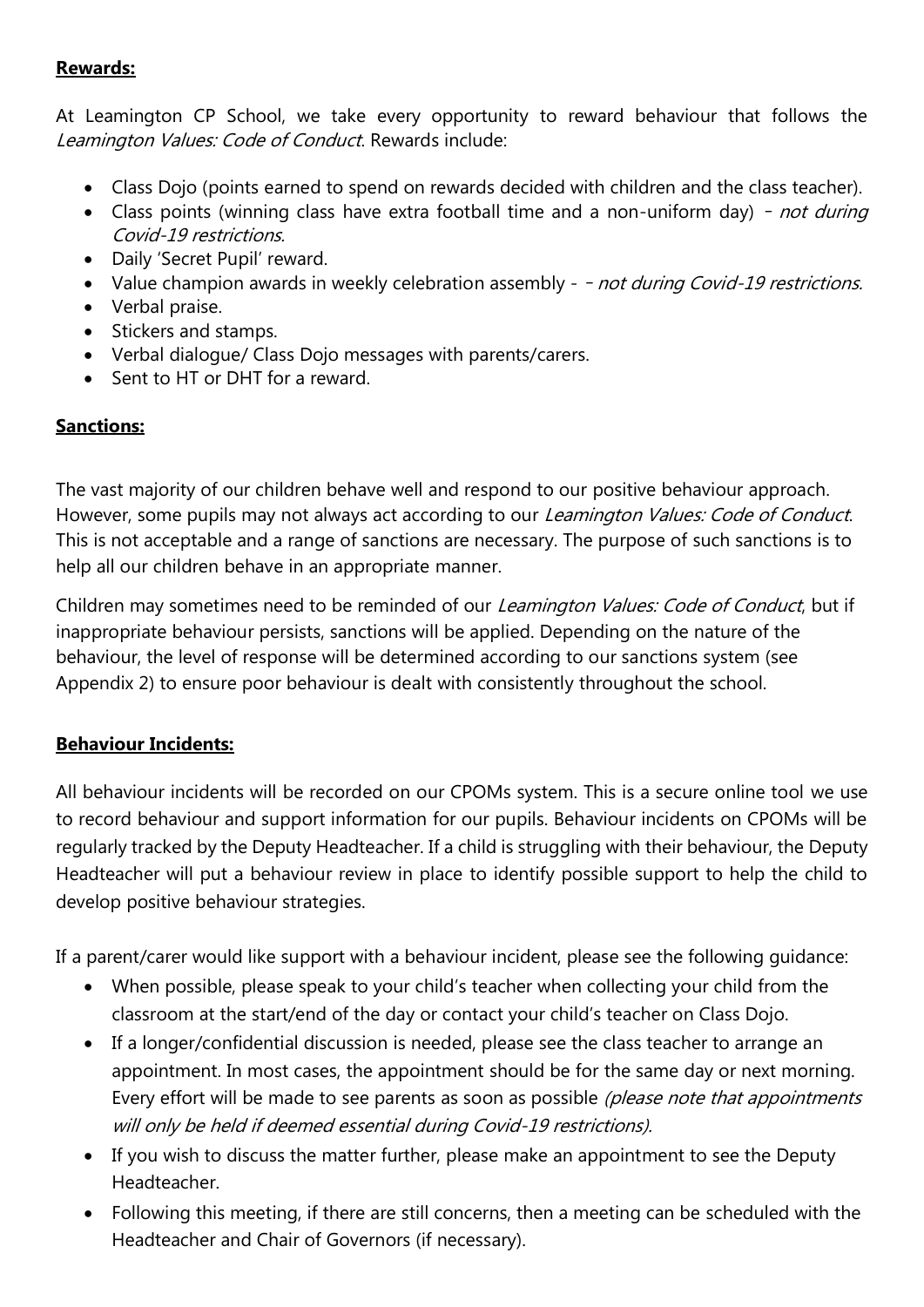#### **Rewards:**

At Leamington CP School, we take every opportunity to reward behaviour that follows the Leamington Values: Code of Conduct. Rewards include:

- Class Dojo (points earned to spend on rewards decided with children and the class teacher).
- Class points (winning class have extra football time and a non-uniform day) not during Covid-19 restrictions.
- Daily 'Secret Pupil' reward.
- Value champion awards in weekly celebration assembly - not during Covid-19 restrictions.
- Verbal praise.
- Stickers and stamps.
- Verbal dialogue/ Class Dojo messages with parents/carers.
- Sent to HT or DHT for a reward.

# **Sanctions:**

The vast majority of our children behave well and respond to our positive behaviour approach. However, some pupils may not always act according to our *Leamington Values: Code of Conduct*. This is not acceptable and a range of sanctions are necessary. The purpose of such sanctions is to help all our children behave in an appropriate manner.

Children may sometimes need to be reminded of our Leamington Values: Code of Conduct, but if inappropriate behaviour persists, sanctions will be applied. Depending on the nature of the behaviour, the level of response will be determined according to our sanctions system (see Appendix 2) to ensure poor behaviour is dealt with consistently throughout the school.

#### **Behaviour Incidents:**

All behaviour incidents will be recorded on our CPOMs system. This is a secure online tool we use to record behaviour and support information for our pupils. Behaviour incidents on CPOMs will be regularly tracked by the Deputy Headteacher. If a child is struggling with their behaviour, the Deputy Headteacher will put a behaviour review in place to identify possible support to help the child to develop positive behaviour strategies.

If a parent/carer would like support with a behaviour incident, please see the following guidance:

- When possible, please speak to your child's teacher when collecting your child from the classroom at the start/end of the day or contact your child's teacher on Class Dojo.
- If a longer/confidential discussion is needed, please see the class teacher to arrange an appointment. In most cases, the appointment should be for the same day or next morning. Every effort will be made to see parents as soon as possible (please note that appointments will only be held if deemed essential during Covid-19 restrictions).
- If you wish to discuss the matter further, please make an appointment to see the Deputy Headteacher.
- Following this meeting, if there are still concerns, then a meeting can be scheduled with the Headteacher and Chair of Governors (if necessary).